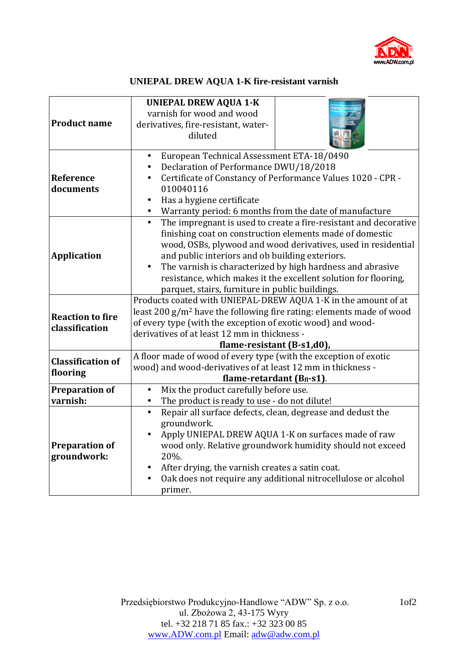

## **UNIEPAL DREW AQUA 1-K fire-resistant varnish**

| <b>Product name</b>                       | <b>UNIEPAL DREW AQUA 1-K</b><br>varnish for wood and wood<br>derivatives, fire-resistant, water-<br>diluted                                                                                                                                                                                                                                                                                                                                       |
|-------------------------------------------|---------------------------------------------------------------------------------------------------------------------------------------------------------------------------------------------------------------------------------------------------------------------------------------------------------------------------------------------------------------------------------------------------------------------------------------------------|
| Reference<br>documents                    | European Technical Assessment ETA-18/0490<br>Declaration of Performance DWU/18/2018<br>Certificate of Constancy of Performance Values 1020 - CPR -<br>010040116<br>Has a hygiene certificate<br>Warranty period: 6 months from the date of manufacture                                                                                                                                                                                            |
| <b>Application</b>                        | $\bullet$<br>The impregnant is used to create a fire-resistant and decorative<br>finishing coat on construction elements made of domestic<br>wood, OSBs, plywood and wood derivatives, used in residential<br>and public interiors and ob building exteriors.<br>The varnish is characterized by high hardness and abrasive<br>resistance, which makes it the excellent solution for flooring,<br>parquet, stairs, furniture in public buildings. |
| <b>Reaction to fire</b><br>classification | Products coated with UNIEPAL-DREW AQUA 1-K in the amount of at<br>least 200 g/m <sup>2</sup> have the following fire rating: elements made of wood<br>of every type (with the exception of exotic wood) and wood-<br>derivatives of at least 12 mm in thickness -<br>flame-resistant (B-s1,d0),                                                                                                                                                   |
| <b>Classification of</b><br>flooring      | A floor made of wood of every type (with the exception of exotic<br>wood) and wood-derivatives of at least 12 mm in thickness -<br>flame-retardant $(Bfl-s1)$ .                                                                                                                                                                                                                                                                                   |
| <b>Preparation of</b><br>varnish:         | Mix the product carefully before use.<br>$\bullet$<br>The product is ready to use - do not dilute!                                                                                                                                                                                                                                                                                                                                                |
| <b>Preparation of</b><br>groundwork:      | Repair all surface defects, clean, degrease and dedust the<br>$\bullet$<br>groundwork.<br>Apply UNIEPAL DREW AQUA 1-K on surfaces made of raw<br>wood only. Relative groundwork humidity should not exceed<br>20%.<br>After drying, the varnish creates a satin coat.<br>Oak does not require any additional nitrocellulose or alcohol<br>primer.                                                                                                 |